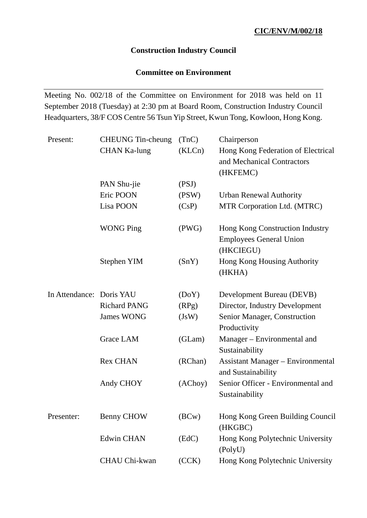### **Construction Industry Council**

# **Committee on Environment**

Meeting No. 002/18 of the Committee on Environment for 2018 was held on 11 September 2018 (Tuesday) at 2:30 pm at Board Room, Construction Industry Council Headquarters, 38/F COS Centre 56 Tsun Yip Street, Kwun Tong, Kowloon, Hong Kong.

| Present:                 | <b>CHEUNG</b> Tin-cheung | (TnC)   | Chairperson                                                      |
|--------------------------|--------------------------|---------|------------------------------------------------------------------|
|                          | <b>CHAN Ka-lung</b>      | (KLCn)  | Hong Kong Federation of Electrical<br>and Mechanical Contractors |
|                          |                          |         | (HKFEMC)                                                         |
|                          | PAN Shu-jie              | (PSJ)   |                                                                  |
|                          | Eric POON                | (PSW)   | <b>Urban Renewal Authority</b>                                   |
|                          | Lisa POON                | (CsP)   | MTR Corporation Ltd. (MTRC)                                      |
|                          | <b>WONG Ping</b>         | (PWG)   | Hong Kong Construction Industry                                  |
|                          |                          |         | <b>Employees General Union</b><br>(HKCIEGU)                      |
|                          | Stephen YIM              | (SnY)   | Hong Kong Housing Authority<br>(HKHA)                            |
| In Attendance: Doris YAU |                          | (DoY)   | Development Bureau (DEVB)                                        |
|                          | <b>Richard PANG</b>      | (RPg)   | Director, Industry Development                                   |
|                          | <b>James WONG</b>        | (JsW)   | Senior Manager, Construction<br>Productivity                     |
|                          | <b>Grace LAM</b>         | (GLam)  | Manager - Environmental and<br>Sustainability                    |
|                          | <b>Rex CHAN</b>          | (RChan) | <b>Assistant Manager – Environmental</b><br>and Sustainability   |
|                          | Andy CHOY                | (AChoy) | Senior Officer - Environmental and<br>Sustainability             |
| Presenter:               | <b>Benny CHOW</b>        | (BCW)   | Hong Kong Green Building Council<br>(HKGBC)                      |
|                          | <b>Edwin CHAN</b>        | (EdC)   | Hong Kong Polytechnic University<br>(PolyU)                      |
|                          | <b>CHAU Chi-kwan</b>     | (CCK)   | Hong Kong Polytechnic University                                 |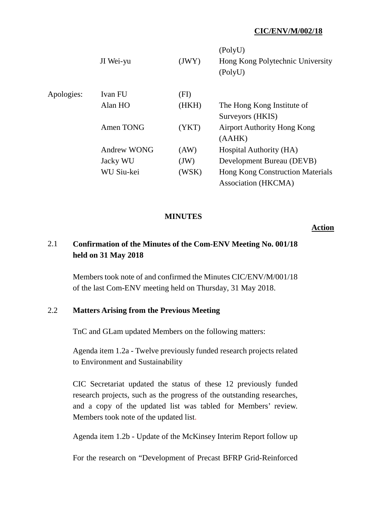|            | JI Wei-yu          | (JWY) | (PolyU)<br>Hong Kong Polytechnic University<br>(PolyU) |
|------------|--------------------|-------|--------------------------------------------------------|
| Apologies: | Ivan FU            | (FI)  |                                                        |
|            | Alan HO            | (HKH) | The Hong Kong Institute of                             |
|            |                    |       | Surveyors (HKIS)                                       |
|            | Amen TONG          | (YKT) | <b>Airport Authority Hong Kong</b>                     |
|            |                    |       | (AAHK)                                                 |
|            | <b>Andrew WONG</b> | (AW)  | Hospital Authority (HA)                                |
|            | Jacky WU           | (JW)  | Development Bureau (DEVB)                              |
|            | WU Siu-kei         | (WSK) | <b>Hong Kong Construction Materials</b>                |
|            |                    |       | Association (HKCMA)                                    |

### **MINUTES**

#### **Action**

# 2.1 **Confirmation of the Minutes of the Com-ENV Meeting No. 001/18 held on 31 May 2018**

Members took note of and confirmed the Minutes CIC/ENV/M/001/18 of the last Com-ENV meeting held on Thursday, 31 May 2018.

### 2.2 **Matters Arising from the Previous Meeting**

TnC and GLam updated Members on the following matters:

Agenda item 1.2a - Twelve previously funded research projects related to Environment and Sustainability

CIC Secretariat updated the status of these 12 previously funded research projects, such as the progress of the outstanding researches, and a copy of the updated list was tabled for Members' review. Members took note of the updated list.

Agenda item 1.2b - Update of the McKinsey Interim Report follow up

For the research on "Development of Precast BFRP Grid-Reinforced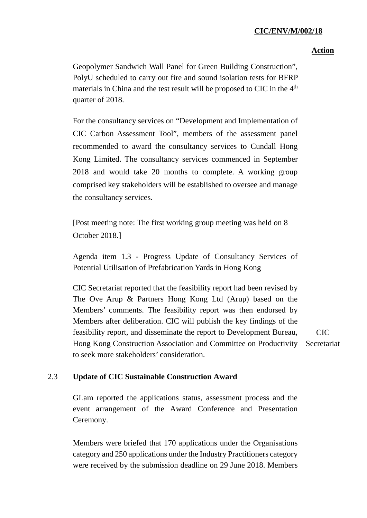### **Action**

Geopolymer Sandwich Wall Panel for Green Building Construction", PolyU scheduled to carry out fire and sound isolation tests for BFRP materials in China and the test result will be proposed to CIC in the 4<sup>th</sup> quarter of 2018.

For the consultancy services on "Development and Implementation of CIC Carbon Assessment Tool", members of the assessment panel recommended to award the consultancy services to Cundall Hong Kong Limited. The consultancy services commenced in September 2018 and would take 20 months to complete. A working group comprised key stakeholders will be established to oversee and manage the consultancy services.

[Post meeting note: The first working group meeting was held on 8 October 2018.]

Agenda item 1.3 - Progress Update of Consultancy Services of Potential Utilisation of Prefabrication Yards in Hong Kong

CIC Secretariat reported that the feasibility report had been revised by The Ove Arup & Partners Hong Kong Ltd (Arup) based on the Members' comments. The feasibility report was then endorsed by Members after deliberation. CIC will publish the key findings of the feasibility report, and disseminate the report to Development Bureau, Hong Kong Construction Association and Committee on Productivity Secretariat to seek more stakeholders' consideration. CIC

## 2.3 **Update of CIC Sustainable Construction Award**

GLam reported the applications status, assessment process and the event arrangement of the Award Conference and Presentation Ceremony.

Members were briefed that 170 applications under the Organisations category and 250 applications under the Industry Practitioners category were received by the submission deadline on 29 June 2018. Members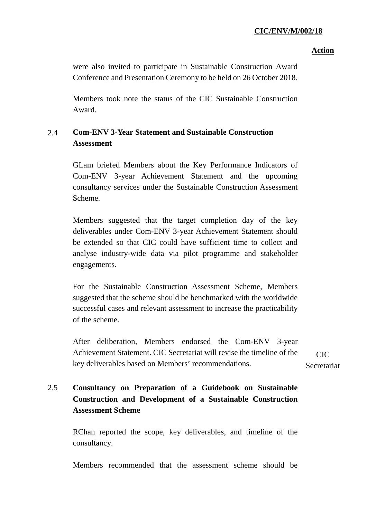### **Action**

were also invited to participate in Sustainable Construction Award Conference and Presentation Ceremony to be held on 26 October 2018.

Members took note the status of the CIC Sustainable Construction Award.

# 2.4 **Com-ENV 3-Year Statement and Sustainable Construction Assessment**

GLam briefed Members about the Key Performance Indicators of Com-ENV 3-year Achievement Statement and the upcoming consultancy services under the Sustainable Construction Assessment Scheme.

Members suggested that the target completion day of the key deliverables under Com-ENV 3-year Achievement Statement should be extended so that CIC could have sufficient time to collect and analyse industry-wide data via pilot programme and stakeholder engagements.

For the Sustainable Construction Assessment Scheme, Members suggested that the scheme should be benchmarked with the worldwide successful cases and relevant assessment to increase the practicability of the scheme.

After deliberation, Members endorsed the Com-ENV 3-year Achievement Statement. CIC Secretariat will revise the timeline of the key deliverables based on Members' recommendations.

 $CIC$ Secretariat

# 2.5 **Consultancy on Preparation of a Guidebook on Sustainable Construction and Development of a Sustainable Construction Assessment Scheme**

RChan reported the scope, key deliverables, and timeline of the consultancy.

Members recommended that the assessment scheme should be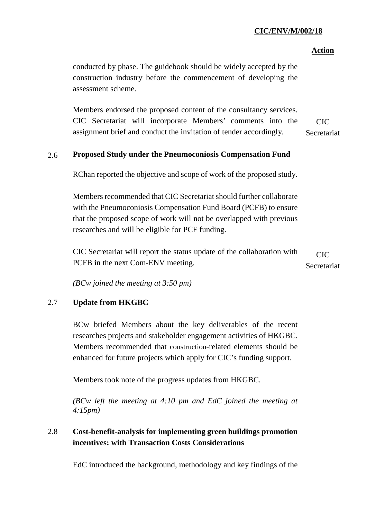### **Action**

conducted by phase. The guidebook should be widely accepted by the construction industry before the commencement of developing the assessment scheme.

Members endorsed the proposed content of the consultancy services. CIC Secretariat will incorporate Members' comments into the assignment brief and conduct the invitation of tender accordingly. CIC Secretariat

### 2.6 **Proposed Study under the Pneumoconiosis Compensation Fund**

RChan reported the objective and scope of work of the proposed study.

Members recommended that CIC Secretariat should further collaborate with the Pneumoconiosis Compensation Fund Board (PCFB) to ensure that the proposed scope of work will not be overlapped with previous researches and will be eligible for PCF funding.

CIC Secretariat will report the status update of the collaboration with PCFB in the next Com-ENV meeting.  $CIC$ Secretariat

*(BCw joined the meeting at 3:50 pm)*

### 2.7 **Update from HKGBC**

BCw briefed Members about the key deliverables of the recent researches projects and stakeholder engagement activities of HKGBC. Members recommended that construction-related elements should be enhanced for future projects which apply for CIC's funding support.

Members took note of the progress updates from HKGBC.

*(BCw left the meeting at 4:10 pm and EdC joined the meeting at 4:15pm)*

# 2.8 **Cost-benefit-analysis for implementing green buildings promotion incentives: with Transaction Costs Considerations**

EdC introduced the background, methodology and key findings of the